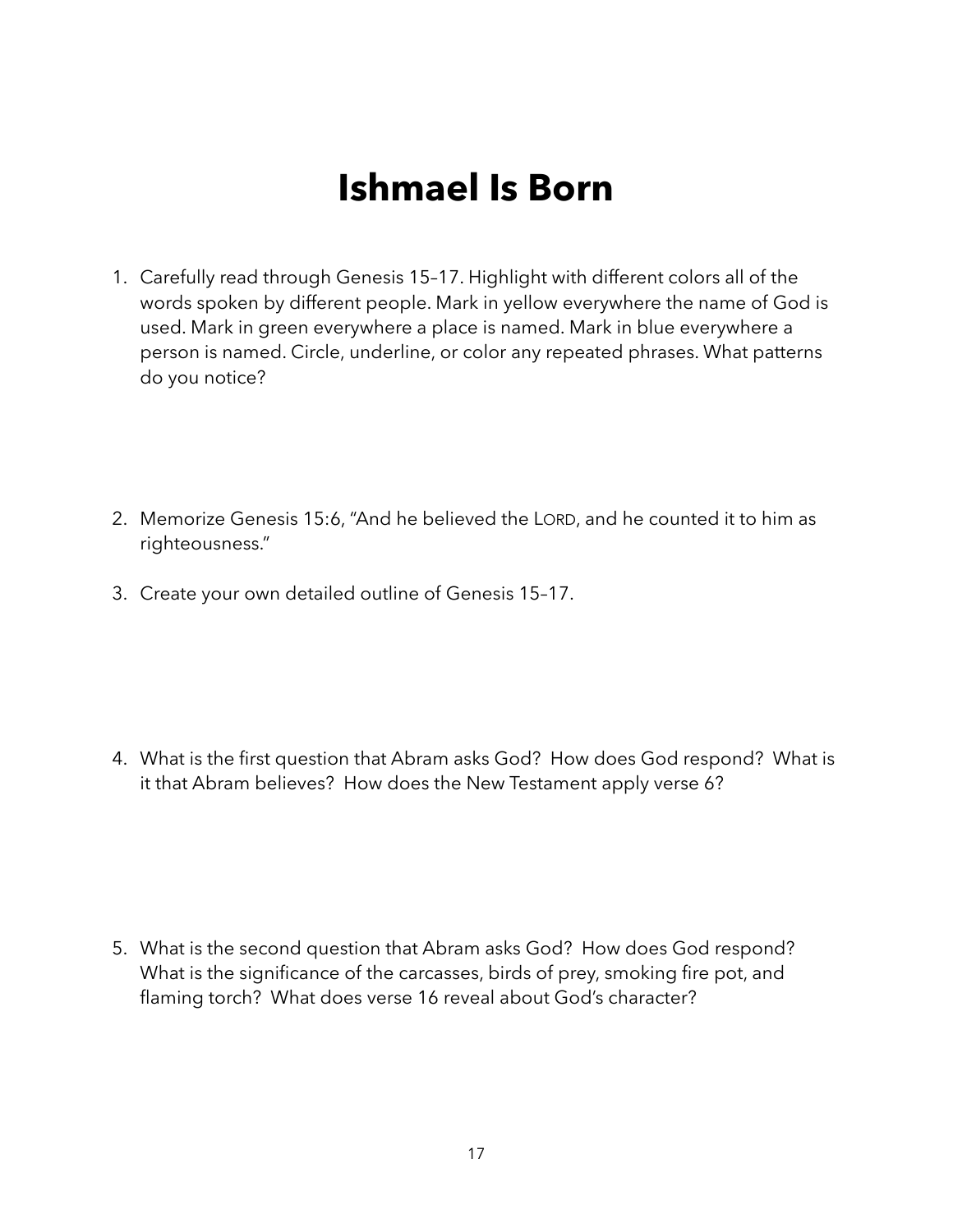## **Ishmael Is Born**

- 1. Carefully read through Genesis 15–17. Highlight with different colors all of the words spoken by different people. Mark in yellow everywhere the name of God is used. Mark in green everywhere a place is named. Mark in blue everywhere a person is named. Circle, underline, or color any repeated phrases. What patterns do you notice?
- 2. Memorize Genesis 15:6, "And he believed the LORD, and he counted it to him as righteousness."
- 3. Create your own detailed outline of Genesis 15–17.

4. What is the first question that Abram asks God? How does God respond? What is it that Abram believes? How does the New Testament apply verse 6?

5. What is the second question that Abram asks God? How does God respond? What is the significance of the carcasses, birds of prey, smoking fire pot, and flaming torch? What does verse 16 reveal about God's character?